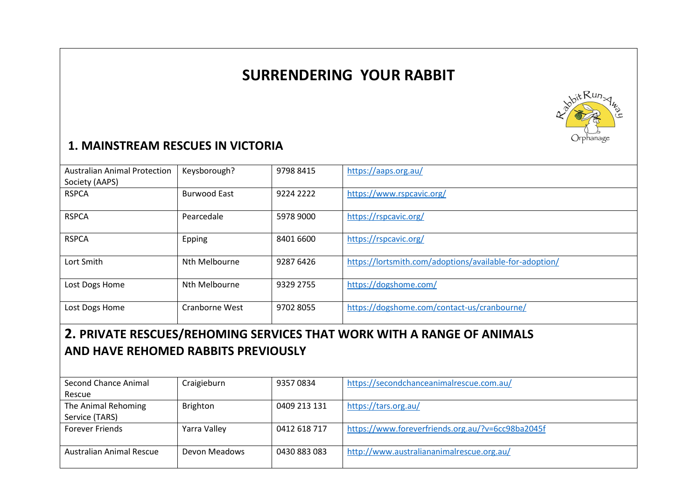# **SURRENDERING YOUR RABBIT**



#### **1. MAINSTREAM RESCUES IN VICTORIA**

| <b>Australian Animal Protection</b> | Keysborough?        | 9798 8415                              | https://aaps.org.au/                                    |
|-------------------------------------|---------------------|----------------------------------------|---------------------------------------------------------|
| Society (AAPS)                      |                     |                                        |                                                         |
| <b>RSPCA</b>                        | <b>Burwood East</b> | 9224 2222<br>https://www.rspcavic.org/ |                                                         |
|                                     |                     |                                        |                                                         |
| <b>RSPCA</b>                        | Pearcedale          | 5978 9000                              | https://rspcavic.org/                                   |
|                                     |                     |                                        |                                                         |
| <b>RSPCA</b>                        | Epping              | 8401 6600                              | https://rspcavic.org/                                   |
|                                     |                     |                                        |                                                         |
| Lort Smith                          | Nth Melbourne       | 9287 6426                              | https://lortsmith.com/adoptions/available-for-adoption/ |
|                                     |                     |                                        |                                                         |
| Lost Dogs Home                      | Nth Melbourne       | 9329 2755                              | https://dogshome.com/                                   |
|                                     |                     |                                        |                                                         |
| Lost Dogs Home                      | Cranborne West      | 9702 8055                              | https://dogshome.com/contact-us/cranbourne/             |
|                                     |                     |                                        |                                                         |

### **2. PRIVATE RESCUES/REHOMING SERVICES THAT WORK WITH A RANGE OF ANIMALS AND HAVE REHOMED RABBITS PREVIOUSLY**

| Second Chance Animal            | Craigieburn   | 93570834     | https://secondchanceanimalrescue.com.au/          |
|---------------------------------|---------------|--------------|---------------------------------------------------|
| Rescue                          |               |              |                                                   |
| The Animal Rehoming             | Brighton      | 0409 213 131 | https://tars.org.au/                              |
| Service (TARS)                  |               |              |                                                   |
| <b>Forever Friends</b>          | Yarra Valley  | 0412 618 717 | https://www.foreverfriends.org.au/?v=6cc98ba2045f |
|                                 |               |              |                                                   |
| <b>Australian Animal Rescue</b> | Devon Meadows | 0430 883 083 | http://www.australiananimalrescue.org.au/         |
|                                 |               |              |                                                   |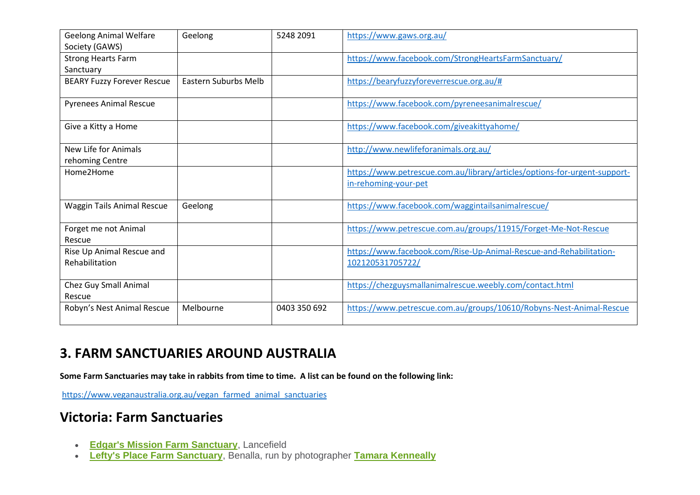| <b>Geelong Animal Welfare</b><br>Society (GAWS) | Geelong              | 5248 2091    | https://www.gaws.org.au/                                                                          |
|-------------------------------------------------|----------------------|--------------|---------------------------------------------------------------------------------------------------|
| <b>Strong Hearts Farm</b><br>Sanctuary          |                      |              | https://www.facebook.com/StrongHeartsFarmSanctuary/                                               |
| <b>BEARY Fuzzy Forever Rescue</b>               | Eastern Suburbs Melb |              | https://bearyfuzzyforeverrescue.org.au/#                                                          |
| <b>Pyrenees Animal Rescue</b>                   |                      |              | https://www.facebook.com/pyreneesanimalrescue/                                                    |
| Give a Kitty a Home                             |                      |              | https://www.facebook.com/giveakittyahome/                                                         |
| New Life for Animals<br>rehoming Centre         |                      |              | http://www.newlifeforanimals.org.au/                                                              |
| Home2Home                                       |                      |              | https://www.petrescue.com.au/library/articles/options-for-urgent-support-<br>in-rehoming-your-pet |
| <b>Waggin Tails Animal Rescue</b>               | Geelong              |              | https://www.facebook.com/waggintailsanimalrescue/                                                 |
| Forget me not Animal<br>Rescue                  |                      |              | https://www.petrescue.com.au/groups/11915/Forget-Me-Not-Rescue                                    |
| Rise Up Animal Rescue and<br>Rehabilitation     |                      |              | https://www.facebook.com/Rise-Up-Animal-Rescue-and-Rehabilitation-<br>102120531705722/            |
| Chez Guy Small Animal<br>Rescue                 |                      |              | https://chezguysmallanimalrescue.weebly.com/contact.html                                          |
| Robyn's Nest Animal Rescue                      | Melbourne            | 0403 350 692 | https://www.petrescue.com.au/groups/10610/Robyns-Nest-Animal-Rescue                               |

#### **3. FARM SANCTUARIES AROUND AUSTRALIA**

**Some Farm Sanctuaries may take in rabbits from time to time. A list can be found on the following link:**

[https://www.veganaustralia.org.au/vegan\\_farmed\\_animal\\_sanctuaries](https://www.veganaustralia.org.au/vegan_farmed_animal_sanctuaries)

## **Victoria: Farm Sanctuaries**

- **[Edgar's Mission Farm Sanctuary](http://www.edgarsmission.org.au/)**, Lancefield
- **[Lefty's Place Farm Sanctuary](https://www.facebook.com/leftysplace/)**, Benalla, run by photographer **[Tamara Kenneally](http://www.tamarakenneallyphotography.com/)**